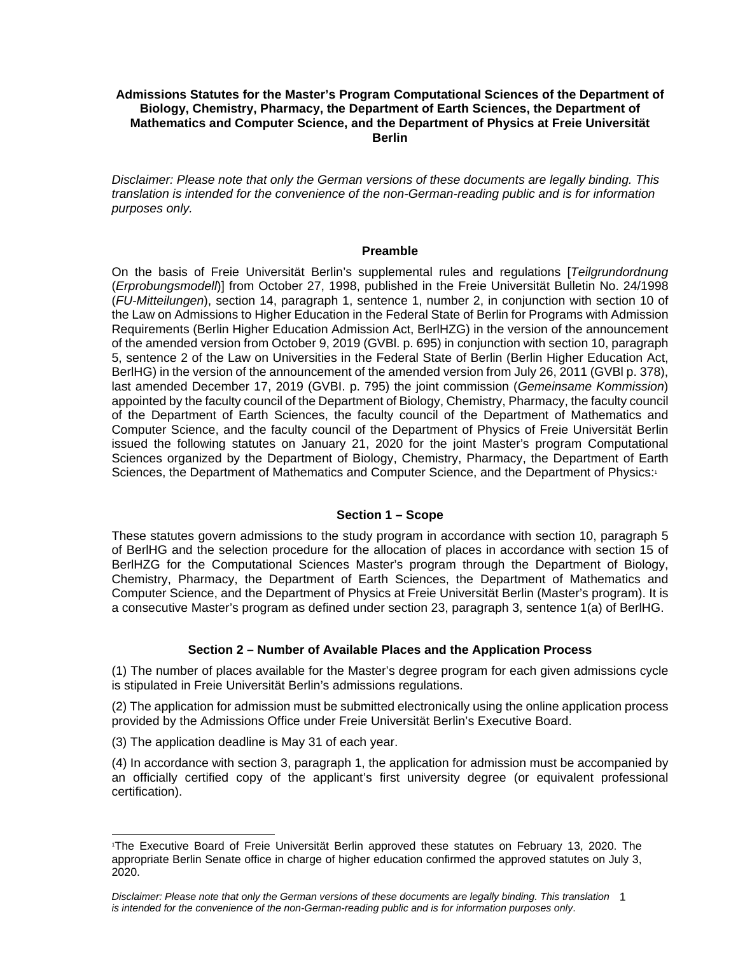## **Admissions Statutes for the Master's Program Computational Sciences of the Department of Biology, Chemistry, Pharmacy, the Department of Earth Sciences, the Department of Mathematics and Computer Science, and the Department of Physics at Freie Universität Berlin**

*Disclaimer: Please note that only the German versions of these documents are legally binding. This translation is intended for the convenience of the non-German-reading public and is for information purposes only.* 

#### **Preamble**

On the basis of Freie Universität Berlin's supplemental rules and regulations [*Teilgrundordnung* (*Erprobungsmodell*)] from October 27, 1998, published in the Freie Universität Bulletin No. 24/1998 (*FU-Mitteilungen*), section 14, paragraph 1, sentence 1, number 2, in conjunction with section 10 of the Law on Admissions to Higher Education in the Federal State of Berlin for Programs with Admission Requirements (Berlin Higher Education Admission Act, BerlHZG) in the version of the announcement of the amended version from October 9, 2019 (GVBl. p. 695) in conjunction with section 10, paragraph 5, sentence 2 of the Law on Universities in the Federal State of Berlin (Berlin Higher Education Act, BerlHG) in the version of the announcement of the amended version from July 26, 2011 (GVBl p. 378), last amended December 17, 2019 (GVBI. p. 795) the joint commission (*Gemeinsame Kommission*) appointed by the faculty council of the Department of Biology, Chemistry, Pharmacy, the faculty council of the Department of Earth Sciences, the faculty council of the Department of Mathematics and Computer Science, and the faculty council of the Department of Physics of Freie Universität Berlin issued the following statutes on January 21, 2020 for the joint Master's program Computational Sciences organized by the Department of Biology, Chemistry, Pharmacy, the Department of Earth Sciences, the Department of Mathematics and Computer Science, and the Department of Physics:<sup>1</sup>

### **Section 1 – Scope**

These statutes govern admissions to the study program in accordance with section 10, paragraph 5 of BerlHG and the selection procedure for the allocation of places in accordance with section 15 of BerlHZG for the Computational Sciences Master's program through the Department of Biology, Chemistry, Pharmacy, the Department of Earth Sciences, the Department of Mathematics and Computer Science, and the Department of Physics at Freie Universität Berlin (Master's program). It is a consecutive Master's program as defined under section 23, paragraph 3, sentence 1(a) of BerlHG.

# **Section 2 – Number of Available Places and the Application Process**

(1) The number of places available for the Master's degree program for each given admissions cycle is stipulated in Freie Universität Berlin's admissions regulations.

(2) The application for admission must be submitted electronically using the online application process provided by the Admissions Office under Freie Universität Berlin's Executive Board.

(3) The application deadline is May 31 of each year.

 $\overline{a}$ 

(4) In accordance with section 3, paragraph 1, the application for admission must be accompanied by an officially certified copy of the applicant's first university degree (or equivalent professional certification).

<sup>1</sup> The Executive Board of Freie Universität Berlin approved these statutes on February 13, 2020. The appropriate Berlin Senate office in charge of higher education confirmed the approved statutes on July 3, 2020.

*Disclaimer: Please note that only the German versions of these documents are legally binding. This translation*  1 *is intended for the convenience of the non-German-reading public and is for information purposes only*.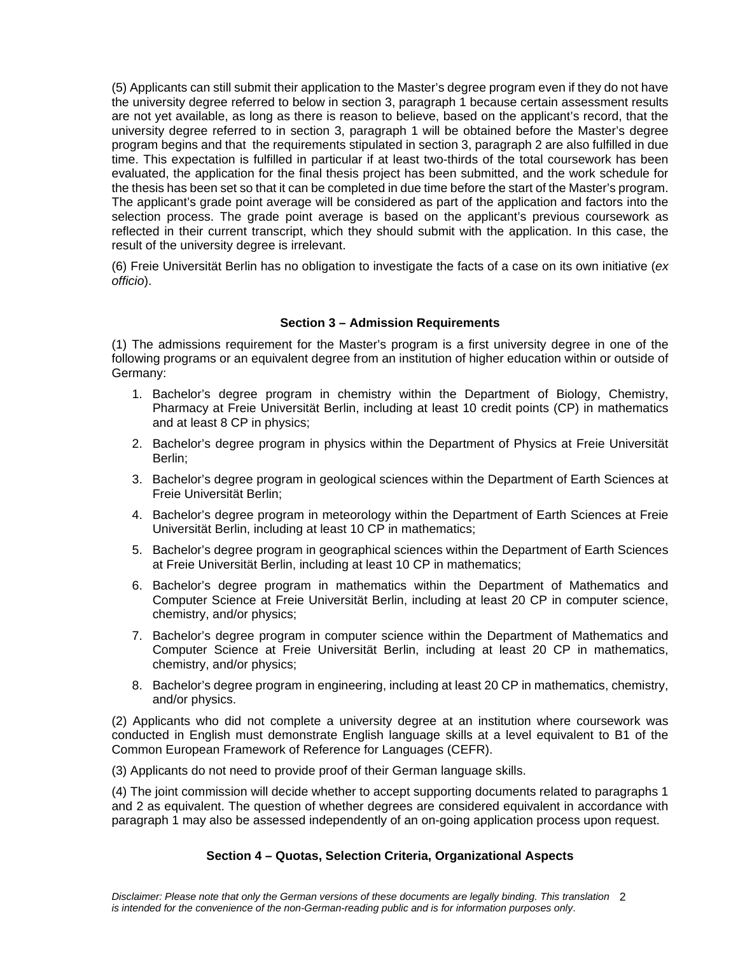(5) Applicants can still submit their application to the Master's degree program even if they do not have the university degree referred to below in section 3, paragraph 1 because certain assessment results are not yet available, as long as there is reason to believe, based on the applicant's record, that the university degree referred to in section 3, paragraph 1 will be obtained before the Master's degree program begins and that the requirements stipulated in section 3, paragraph 2 are also fulfilled in due time. This expectation is fulfilled in particular if at least two-thirds of the total coursework has been evaluated, the application for the final thesis project has been submitted, and the work schedule for the thesis has been set so that it can be completed in due time before the start of the Master's program. The applicant's grade point average will be considered as part of the application and factors into the selection process. The grade point average is based on the applicant's previous coursework as reflected in their current transcript, which they should submit with the application. In this case, the result of the university degree is irrelevant.

(6) Freie Universität Berlin has no obligation to investigate the facts of a case on its own initiative (*ex officio*).

## **Section 3 – Admission Requirements**

(1) The admissions requirement for the Master's program is a first university degree in one of the following programs or an equivalent degree from an institution of higher education within or outside of Germany:

- 1. Bachelor's degree program in chemistry within the Department of Biology, Chemistry, Pharmacy at Freie Universität Berlin, including at least 10 credit points (CP) in mathematics and at least 8 CP in physics;
- 2. Bachelor's degree program in physics within the Department of Physics at Freie Universität Berlin;
- 3. Bachelor's degree program in geological sciences within the Department of Earth Sciences at Freie Universität Berlin;
- 4. Bachelor's degree program in meteorology within the Department of Earth Sciences at Freie Universität Berlin, including at least 10 CP in mathematics;
- 5. Bachelor's degree program in geographical sciences within the Department of Earth Sciences at Freie Universität Berlin, including at least 10 CP in mathematics;
- 6. Bachelor's degree program in mathematics within the Department of Mathematics and Computer Science at Freie Universität Berlin, including at least 20 CP in computer science, chemistry, and/or physics;
- 7. Bachelor's degree program in computer science within the Department of Mathematics and Computer Science at Freie Universität Berlin, including at least 20 CP in mathematics, chemistry, and/or physics;
- 8. Bachelor's degree program in engineering, including at least 20 CP in mathematics, chemistry, and/or physics.

(2) Applicants who did not complete a university degree at an institution where coursework was conducted in English must demonstrate English language skills at a level equivalent to B1 of the Common European Framework of Reference for Languages (CEFR).

(3) Applicants do not need to provide proof of their German language skills.

(4) The joint commission will decide whether to accept supporting documents related to paragraphs 1 and 2 as equivalent. The question of whether degrees are considered equivalent in accordance with paragraph 1 may also be assessed independently of an on-going application process upon request.

### **Section 4 – Quotas, Selection Criteria, Organizational Aspects**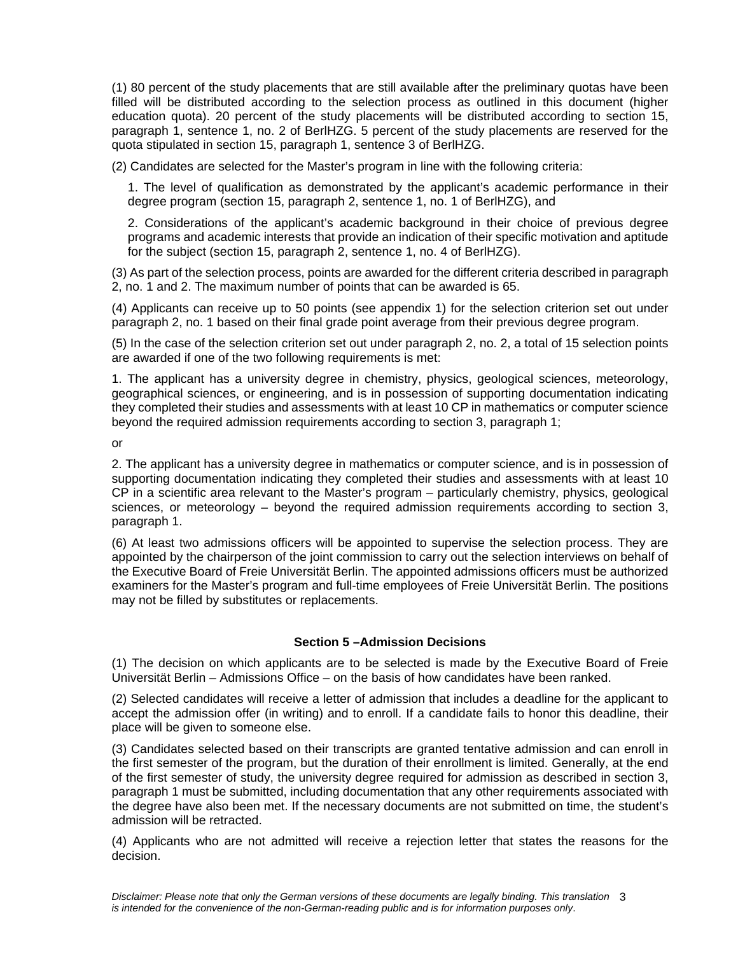(1) 80 percent of the study placements that are still available after the preliminary quotas have been filled will be distributed according to the selection process as outlined in this document (higher education quota). 20 percent of the study placements will be distributed according to section 15, paragraph 1, sentence 1, no. 2 of BerlHZG. 5 percent of the study placements are reserved for the quota stipulated in section 15, paragraph 1, sentence 3 of BerlHZG.

(2) Candidates are selected for the Master's program in line with the following criteria:

1. The level of qualification as demonstrated by the applicant's academic performance in their degree program (section 15, paragraph 2, sentence 1, no. 1 of BerlHZG), and

2. Considerations of the applicant's academic background in their choice of previous degree programs and academic interests that provide an indication of their specific motivation and aptitude for the subject (section 15, paragraph 2, sentence 1, no. 4 of BerlHZG).

(3) As part of the selection process, points are awarded for the different criteria described in paragraph 2, no. 1 and 2. The maximum number of points that can be awarded is 65.

(4) Applicants can receive up to 50 points (see appendix 1) for the selection criterion set out under paragraph 2, no. 1 based on their final grade point average from their previous degree program.

(5) In the case of the selection criterion set out under paragraph 2, no. 2, a total of 15 selection points are awarded if one of the two following requirements is met:

1. The applicant has a university degree in chemistry, physics, geological sciences, meteorology, geographical sciences, or engineering, and is in possession of supporting documentation indicating they completed their studies and assessments with at least 10 CP in mathematics or computer science beyond the required admission requirements according to section 3, paragraph 1;

or

2. The applicant has a university degree in mathematics or computer science, and is in possession of supporting documentation indicating they completed their studies and assessments with at least 10 CP in a scientific area relevant to the Master's program – particularly chemistry, physics, geological sciences, or meteorology – beyond the required admission requirements according to section 3, paragraph 1.

(6) At least two admissions officers will be appointed to supervise the selection process. They are appointed by the chairperson of the joint commission to carry out the selection interviews on behalf of the Executive Board of Freie Universität Berlin. The appointed admissions officers must be authorized examiners for the Master's program and full-time employees of Freie Universität Berlin. The positions may not be filled by substitutes or replacements.

# **Section 5 –Admission Decisions**

(1) The decision on which applicants are to be selected is made by the Executive Board of Freie Universität Berlin – Admissions Office – on the basis of how candidates have been ranked.

(2) Selected candidates will receive a letter of admission that includes a deadline for the applicant to accept the admission offer (in writing) and to enroll. If a candidate fails to honor this deadline, their place will be given to someone else.

(3) Candidates selected based on their transcripts are granted tentative admission and can enroll in the first semester of the program, but the duration of their enrollment is limited. Generally, at the end of the first semester of study, the university degree required for admission as described in section 3, paragraph 1 must be submitted, including documentation that any other requirements associated with the degree have also been met. If the necessary documents are not submitted on time, the student's admission will be retracted.

(4) Applicants who are not admitted will receive a rejection letter that states the reasons for the decision.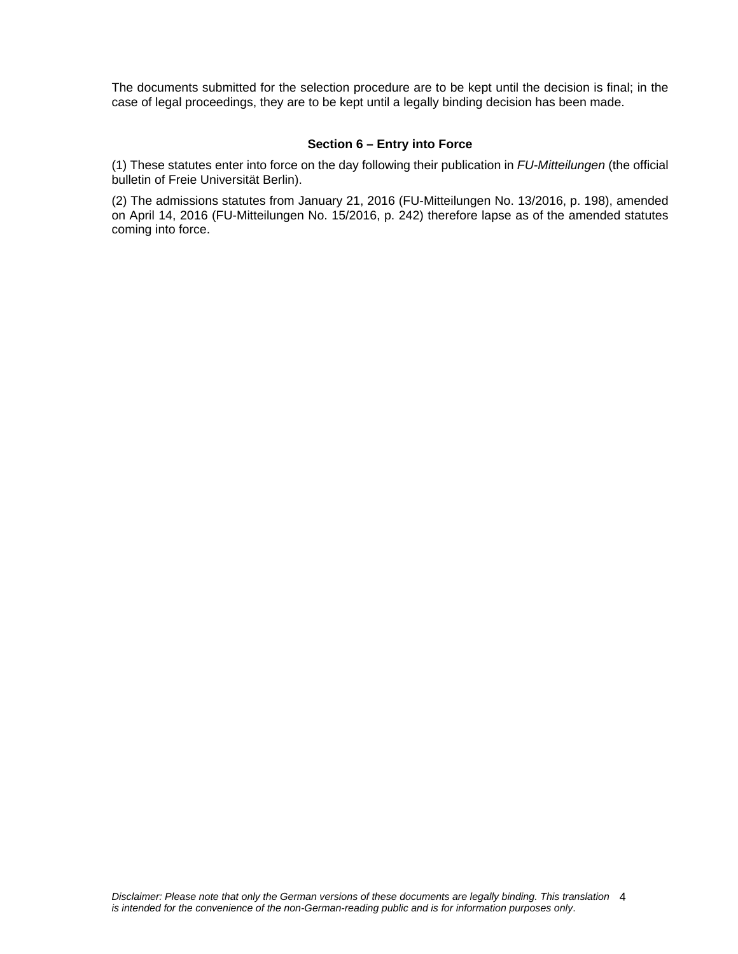The documents submitted for the selection procedure are to be kept until the decision is final; in the case of legal proceedings, they are to be kept until a legally binding decision has been made.

### **Section 6 – Entry into Force**

(1) These statutes enter into force on the day following their publication in *FU-Mitteilungen* (the official bulletin of Freie Universität Berlin).

(2) The admissions statutes from January 21, 2016 (FU-Mitteilungen No. 13/2016, p. 198), amended on April 14, 2016 (FU-Mitteilungen No. 15/2016, p. 242) therefore lapse as of the amended statutes coming into force.